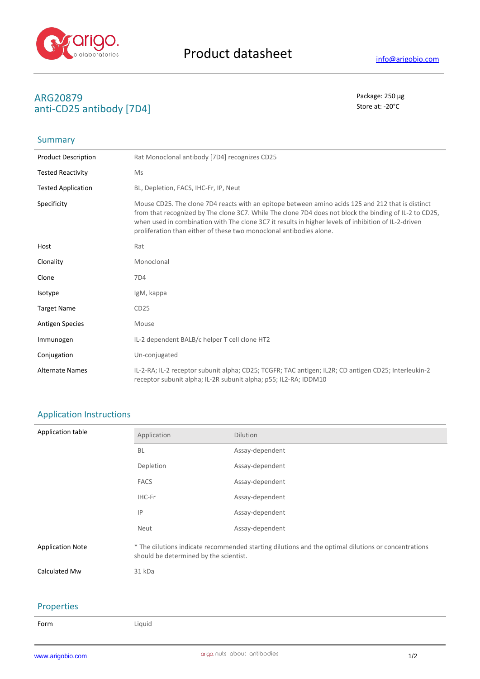

# **ARG20879** Package: 250 μg<br> **ARG20879** Package: 250 μg<br> **ARG20879** Package: 250 μg anti-CD25 antibody [7D4]

# Summary

| <b>Product Description</b> | Rat Monoclonal antibody [7D4] recognizes CD25                                                                                                                                                                                                                                                                                                                                              |
|----------------------------|--------------------------------------------------------------------------------------------------------------------------------------------------------------------------------------------------------------------------------------------------------------------------------------------------------------------------------------------------------------------------------------------|
| <b>Tested Reactivity</b>   | Ms                                                                                                                                                                                                                                                                                                                                                                                         |
| <b>Tested Application</b>  | BL, Depletion, FACS, IHC-Fr, IP, Neut                                                                                                                                                                                                                                                                                                                                                      |
| Specificity                | Mouse CD25. The clone 7D4 reacts with an epitope between amino acids 125 and 212 that is distinct<br>from that recognized by The clone 3C7. While The clone 7D4 does not block the binding of IL-2 to CD25,<br>when used in combination with The clone 3C7 it results in higher levels of inhibition of IL-2-driven<br>proliferation than either of these two monoclonal antibodies alone. |
| Host                       | Rat                                                                                                                                                                                                                                                                                                                                                                                        |
| Clonality                  | Monoclonal                                                                                                                                                                                                                                                                                                                                                                                 |
| Clone                      | 7D4                                                                                                                                                                                                                                                                                                                                                                                        |
| Isotype                    | IgM, kappa                                                                                                                                                                                                                                                                                                                                                                                 |
| <b>Target Name</b>         | CD25                                                                                                                                                                                                                                                                                                                                                                                       |
| <b>Antigen Species</b>     | Mouse                                                                                                                                                                                                                                                                                                                                                                                      |
| Immunogen                  | IL-2 dependent BALB/c helper T cell clone HT2                                                                                                                                                                                                                                                                                                                                              |
| Conjugation                | Un-conjugated                                                                                                                                                                                                                                                                                                                                                                              |
| <b>Alternate Names</b>     | IL-2-RA; IL-2 receptor subunit alpha; CD25; TCGFR; TAC antigen; IL2R; CD antigen CD25; Interleukin-2<br>receptor subunit alpha; IL-2R subunit alpha; p55; IL2-RA; IDDM10                                                                                                                                                                                                                   |

## Application Instructions

| Application table       | Application                                                                                                                                   | Dilution        |
|-------------------------|-----------------------------------------------------------------------------------------------------------------------------------------------|-----------------|
|                         | <b>BL</b>                                                                                                                                     | Assay-dependent |
|                         | Depletion                                                                                                                                     | Assay-dependent |
|                         | <b>FACS</b>                                                                                                                                   | Assay-dependent |
|                         | IHC-Fr                                                                                                                                        | Assay-dependent |
|                         | IP                                                                                                                                            | Assay-dependent |
|                         | Neut                                                                                                                                          | Assay-dependent |
| <b>Application Note</b> | * The dilutions indicate recommended starting dilutions and the optimal dilutions or concentrations<br>should be determined by the scientist. |                 |
| Calculated Mw           | 31 kDa                                                                                                                                        |                 |
|                         |                                                                                                                                               |                 |
| <b>Properties</b>       |                                                                                                                                               |                 |

#### **operties**